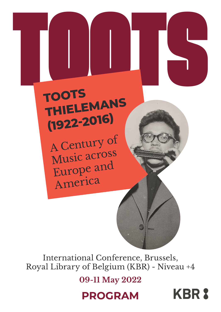TOOTS WE AND **TOOTS THIELEMANS (1922-2016)**

> A Century of Music across Europe and America

International Conference, Brussels, Royal Library of Belgium (KBR) - Niveau +4

**09-11 May 2022**



**PROGRAM**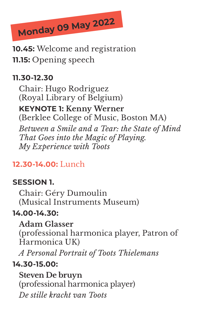

**10.45:** Welcome and registration **11.15:** Opening speech

### **11.30-12.30**

Chair: Hugo Rodriguez (Royal Library of Belgium) **KEYNOTE 1: Kenny Werner** (Berklee College of Music, Boston MA) *Between a Smile and a Tear: the State of Mind That Goes into the Magic of Playing. My Experience with Toots*

## **12.30-14.00:** Lunch

## **SESSION 1.**

Chair: Géry Dumoulin (Musical Instruments Museum)

## **14.00-14.30:**

**Adam Glasser** (professional harmonica player, Patron of Harmonica UK)

*A Personal Portrait of Toots Thielemans*

### **14.30-15.00:**

**Steven De bruyn** (professional harmonica player) *De stille kracht van Toots*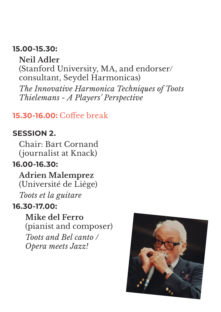#### **15.00-15.30:**

**Neil Adler** (Stanford University, MA, and endorser/ consultant, Seydel Harmonicas) *The Innovative Harmonica Techniques of Toots Thielemans - A Players' Perspective*

**15.30-16.00:** Coffee break

#### **SESSION 2.**

Chair: Bart Cornand (journalist at Knack)

#### **16.00-16.30:**

**Adrien Malemprez** (Université de Liège) *Toots et la guitare*

### **16.30-17.00:**

**Mike del Ferro** (pianist and composer) *Toots and Bel canto / Opera meets Jazz!*

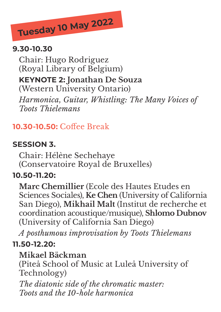

#### **9.30-10.30**

Chair: Hugo Rodriguez (Royal Library of Belgium) **KEYNOTE 2: Jonathan De Souza**  (Western University Ontario) *Harmonica, Guitar, Whistling: The Many Voices of Toots Thielemans*

# **10.30-10.50:** Coffee Break

#### **SESSION 3.**

Chair: Hélène Sechehaye (Conservatoire Royal de Bruxelles)

### **10.50-11.20:**

**Marc Chemillier** (Ecole des Hautes Etudes en Sciences Sociales), **Ke Chen** (University of California San Diego), **Mikhail Malt** (Institut de recherche et coordination acoustique/musique), **Shlomo Dubnov** (University of California San Diego)

*A posthumous improvisation by Toots Thielemans*

#### **11.50-12.20:**

#### **Mikael Bäckman**

(Piteå School of Music at Luleå University of Technology)

*The diatonic side of the chromatic master: Toots and the 10-hole harmonica*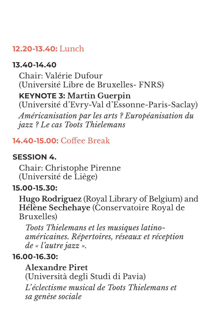# **12.20-13.40:** Lunch

# **13.40-14.40**

Chair: Valérie Dufour (Université Libre de Bruxelles- FNRS)

# **KEYNOTE 3: Martin Guerpin**

(Université d'Evry-Val d'Essonne-Paris-Saclay)

*Américanisation par les arts ? Européanisation du jazz ? Le cas Toots Thielemans*

# **14.40-15.00:** Coffee Break

# **SESSION 4.**

Chair: Christophe Pirenne (Université de Liège)

## **15.00-15.30:**

**Hugo Rodriguez** (Royal Library of Belgium) and **Hélène Sechehaye** (Conservatoire Royal de Bruxelles)

*Toots Thielemans et les musiques latinoaméricaines. Répertoires, réseaux et réception de « l'autre jazz ».*

## **16.00-16.30:**

**Alexandre Piret**  (Università degli Studi di Pavia) *L'éclectisme musical de Toots Thielemans et sa genèse sociale*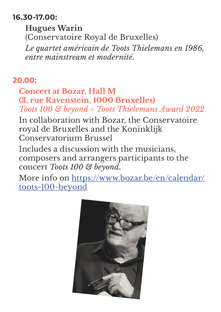### **16.30-17.00:**

**Hugues Warin**

(Conservatoire Royal de Bruxelles)

*Le quartet américain de Toots Thielemans en 1986, entre mainstream et modernité.*

## **20.00:**

**Concert at Bozar, Hall M (3, rue Ravenstein, 1000 Bruxelles)** *Toots 100 & beyond + Toots Thielemans Award 2022*

In collaboration with Bozar, the Conservatoire royal de Bruxelles and the Koninklijk Conservatorium Brussel

Includes a discussion with the musicians, composers and arrangers participants to the concert *Toots 100 & beyond.*

More info on https://www.bozar.be/en/calendar/ toots-100-beyond

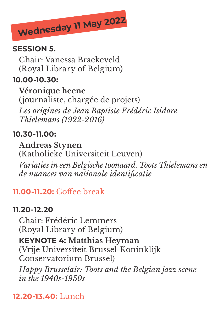

### **SESSION 5.**

Chair: Vanessa Braekeveld (Royal Library of Belgium)

### **10.00-10.30:**

**Véronique heene**  (journaliste, chargée de projets) *Les origines de Jean Baptiste Frédéric Isidore Thielemans (1922-2016)*

### **10.30-11.00:**

**Andreas Stynen** (Katholieke Universiteit Leuven)

*Variaties in een Belgische toonaard. Toots Thielemans en de nuances van nationale identificatie*

# **11.00-11.20:** Coffee break

### **11.20-12.20**

Chair: Frédéric Lemmers (Royal Library of Belgium)

**KEYNOTE 4: Matthias Heyman** (Vrije Universiteit Brussel-Koninklijk Conservatorium Brussel)

*Happy Brusselair: Toots and the Belgian jazz scene in the 1940s-1950s*

# **12.20-13.40:** Lunch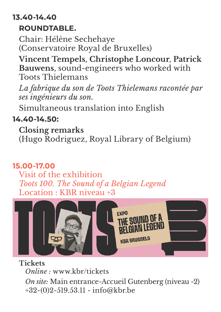## **13.40-14.40 ROUNDTABLE.**

Chair: Hélène Sechehaye (Conservatoire Royal de Bruxelles)

**Vincent Tempels**, **Christophe Loncour**, **Patrick Bauwens**, sound-engineers who worked with Toots Thielemans

*La fabrique du son de Toots Thielemans racontée par ses ingénieurs du son.* 

Simultaneous translation into English

# **14.40-14.50:**

**Closing remarks** (Hugo Rodriguez, Royal Library of Belgium)

### **15.00-17.00**

Visit of the exhibition *Toots 100. The Sound of a Belgian Legend* Location : KBR niveau +3



#### **Tickets**

*Online :* www.kbr/tickets

*On site:* Main entrance-Accueil Gutenberg (niveau -2) +32-(0)2-519.53.11 - info@kbr.be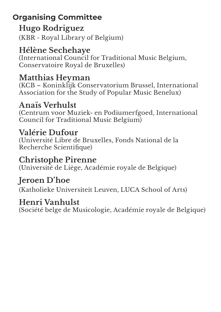# **Organising Committee**

#### **Hugo Rodriguez**

(KBR - Royal Library of Belgium)

### **Hélène Sechehaye**

(International Council for Traditional Music Belgium, Conservatoire Royal de Bruxelles)

#### **Matthias Heyman**

(KCB – Koninklijk Conservatorium Brussel, International Association for the Study of Popular Music Benelux)

#### **Anaïs Verhulst**

(Centrum voor Muziek- en Podiumerfgoed, International Council for Traditional Music Belgium)

#### **Valérie Dufour**

(Université Libre de Bruxelles, Fonds National de la Recherche Scientifique)

**Christophe Pirenne** (Université de Liège, Académie royale de Belgique)

### **Jeroen D'hoe**

(Katholieke Universiteit Leuven, LUCA School of Arts)

#### **Henri Vanhulst**

(Société belge de Musicologie, Académie royale de Belgique)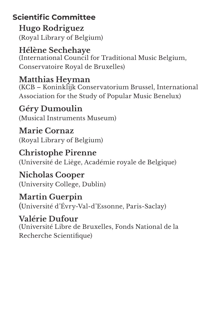**Scientific Committee**

**Hugo Rodriguez** (Royal Library of Belgium)

**Hélène Sechehaye** (International Council for Traditional Music Belgium, Conservatoire Royal de Bruxelles)

**Matthias Heyman** (KCB – Koninklijk Conservatorium Brussel, International Association for the Study of Popular Music Benelux)

**Géry Dumoulin** (Musical Instruments Museum)

**Marie Cornaz** (Royal Library of Belgium)

**Christophe Pirenne** (Université de Liège, Académie royale de Belgique)

**Nicholas Cooper** (University College, Dublin)

**Martin Guerpin** (Université d'Évry-Val-d'Essonne, Paris-Saclay)

**Valérie Dufour** (Université Libre de Bruxelles, Fonds National de la Recherche Scientifique)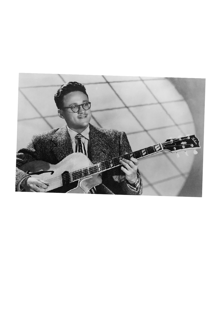